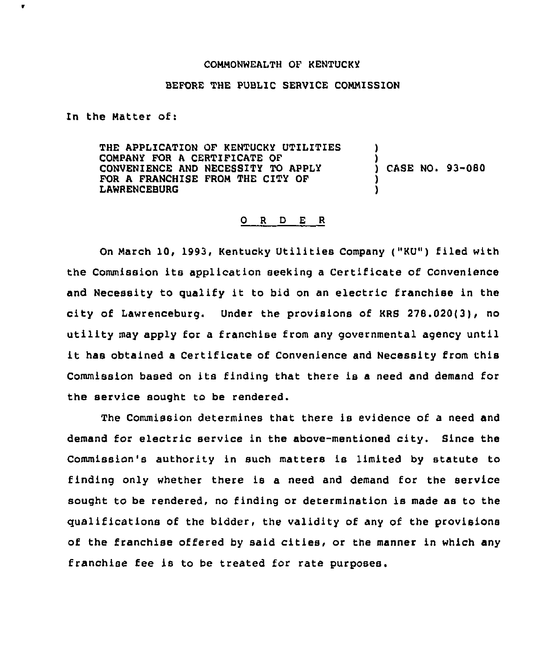## COMMONWEALTH OF KENTUCKY

## BEFORE THE PUBLIC SERVICE COMMISSION

In the Matter of:

 $\bullet$ 

THE APPLICATION OF KENTUCKY UTILITIES COMPANY FOR A CERTIFICATE OF CONVENIENCE AND NECESSITY TO APPLY FOR A FRANCHISE FROM THE CITY OF LAWRENCEBURG ) ) ) CASE NO. 93-080 ) )

## 0 <sup>R</sup> <sup>D</sup> E <sup>R</sup>

On March 10, 1993, Kentucky Utilities Company ("KU") filed with the Commission its application seeking <sup>a</sup> Certificate of Convenience and Necessity to qualify it to bid on an electric franchise in the city of Lawrenceburg. Under the provisions of KRS 278.020(3), no utility may apply for <sup>a</sup> franchise from any governmental agency until it has obtained <sup>a</sup> Certificate of Convenience and Necessity from this Commission based on its finding that there is <sup>a</sup> need and demand for the service sought to be rendered.

The Commission determines that there is evidence of a need and demand for electric service in the above-mentioned city. Since the Commission's authority in such matters is limited by statute to finding only whether there is a need and demand for the service sought to be rendered, no finding or determination is made as to the qualifications of the bidder, the validity of any of the provisions of the franchise offered by said cities, or the manner in which any franchise fee is to be treated for rate purposes.